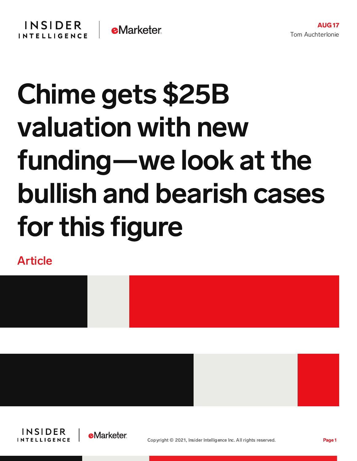## Chime gets \$25B valuation with new funding—we look at the bullish and bearish cases for this figure

Article







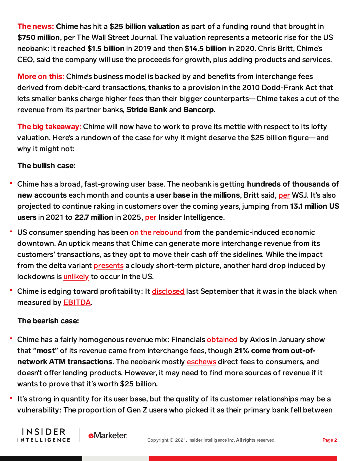**The news: Chime** has hit a \$25 billion valuation as part of a funding round that brought in \$750 million, per The Wall Street Journal. The valuation represents a meteoric rise for the US neobank: it reached \$1.5 billion in 2019 and then \$14.5 billion in 2020. Chris Britt, Chime's CEO, said the company will use the proceeds for growth, plus adding products and services.

More on this: Chime's business model is backed by and benefits from interchange fees derived from debit-card transactions, thanks to a provision in the 2010 Dodd-Frank Act that lets smaller banks charge higher fees than their bigger counterparts—Chime takes a cut of the revenue from its partner banks, Stride Bank and Bancorp.

The big takeaway: Chime will now have to work to prove its mettle with respect to its lofty valuation. Here's a rundown of the case for why it might deserve the \$25 billion figure—and why it might not:

## The bullish case:

- Chime has a broad, fast-growing user base. The neobank is getting hundreds of thousands of new accounts each month and counts a user base in the millions, Britt said, [per](https://www.wsj.com/articles/chime-financial-raises-750-million-in-latest-funding-round-11628872069) WSJ. It's also projected to continue raking in customers over the coming years, jumping from 13.1 million US users in 2021 to 22.7 million in 2025, [per](https://forecasts-na2.emarketer.com/5eeafb4d0055ef074c7aff0b/5eeaf539e60f5d07540e2520) Insider Intelligence.
- ٣ US consumer spending has been on the [rebound](https://apnews.com/article/business-health-coronavirus-pandemic-inflation-e57217f50ef4c641fe94bfe2b9bf50f4) from the pandemic-induced economic downtown. An uptick means that Chime can generate more interchange revenue from its customers' transactions, as they opt to move their cash off the sidelines. While the impact from the delta variant [presents](https://www.axios.com/consumer-sentiment-delta-variant-58156f64-8930-47d2-80dc-fbc237da1df5.html) a cloudy short-term picture, another hard drop induced by lockdowns is [unlikely](https://www.axios.com/consumer-sentiment-delta-variant-58156f64-8930-47d2-80dc-fbc237da1df5.html) to occur in the US.
- Chime is edging toward profitability: It [disclosed](https://techcrunch.com/2020/09/18/chime-adds-485m-at-a-14-5b-valuation-claims-ebitda-profitability/) last September that it was in the black when measured by **EBITDA**.

## The bearish case:

**INSIDER** 

**INTELLIGENCE** 

**e**Marketer

- Chime has a fairly homogenous revenue mix: Financials [obtained](https://www.axios.com/chime-fee-income-atm-revenue-14572e20-7397-4cb2-96e8-425126850363.html) by Axios in January show that **"**most**"** of its revenue came from interchange fees, though 21% come from out-ofnetwork ATM transactions. The neobank mostly [eschews](https://www.chime.com/no-fees/) direct fees to consumers, and doesn't offer lending products. However, it may need to find more sources of revenue if it wants to prove that it's worth \$25 billion.
- It's strong in quantity for its user base, but the quality of its customer relationships may be a vulnerability: The proportion of Gen Z users who picked it as their primary bank fell between